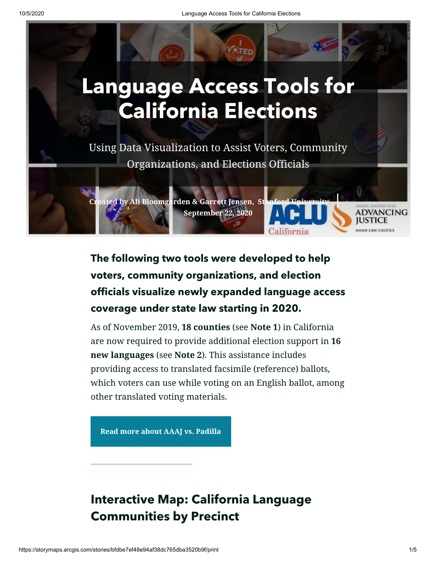

# **The following two tools were developed to help voters, community organizations, and election officials visualize newly expanded language access coverage under state law starting in 2020.**

As of November 2019, **18 counties** (see **Note 1**) in California are now required to provide additional election support in **16 new languages** (see **Note 2**). This assistance includes providing access to translated facsimile (reference) ballots, which voters can use while voting on an English ballot, among other translated voting materials.

**[Read more about AAAJ vs. Padilla](https://www.aclunc.org/news/voting-rights-victory-limited-english-citizens)**

# **Interactive Map: California Language Communities by Precinct**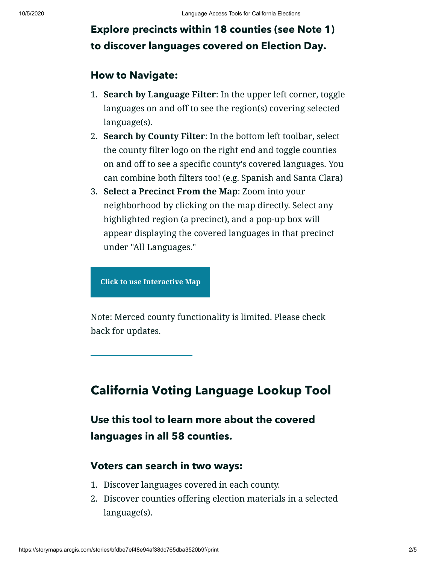## **Explore precincts within 18 counties (see Note 1) to discover languages covered on Election Day.**

#### **How to Navigate:**

- 1. **Search by Language Filter**: In the upper left corner, toggle languages on and off to see the region(s) covering selected language(s).
- 2. **Search by County Filter**: In the bottom left toolbar, select the county filter logo on the right end and toggle counties on and off to see a specific county's covered languages. You can combine both filters too! (e.g. Spanish and Santa Clara)
- 3. **Select a Precinct From the Map**: Zoom into your neighborhood by clicking on the map directly. Select any highlighted region (a precinct), and a pop-up box will appear displaying the covered languages in that precinct under "All Languages."

**Click to use [Interactive](https://stanford.maps.arcgis.com/apps/webappviewer/index.html?id=dedd1eed738742128f5b16b988bf5da7) Map**

Note: Merced county functionality is limited. Please check back for updates.

### **California Voting Language Lookup Tool**

**Use this tool to learn more about the covered languages in all 58 counties.**

#### **Voters can search in two ways:**

- 1. Discover languages covered in each county.
- 2. Discover counties offering election materials in a selected language(s).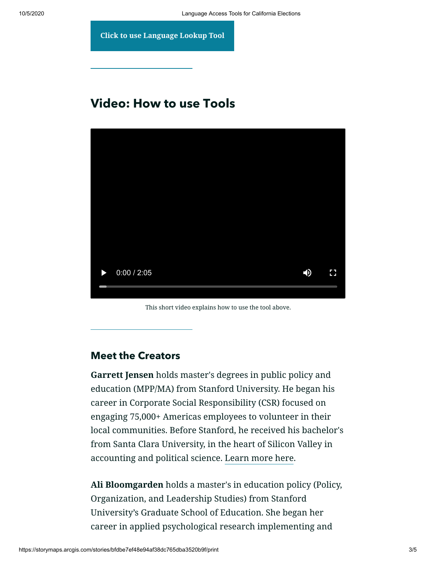**Click to use [Language](https://qfreeaccountssjc1.az1.qualtrics.com/jfe/form/SV_88LjeVZK8vc8nch) Lookup Tool**

### **Video: How to use Tools**



This short video explains how to use the tool above.

### **Meet the Creators**

**Garrett Jensen** holds master's degrees in public policy and education (MPP/MA) from Stanford University. He began his career in Corporate Social Responsibility (CSR) focused on engaging 75,000+ Americas employees to volunteer in their local communities. Before Stanford, he received his bachelor's from Santa Clara University, in the heart of Silicon Valley in accounting and political science. [Learn more here](http://linkedin.com/in/garrettjensen).

**Ali Bloomgarden** holds a master's in education policy (Policy, Organization, and Leadership Studies) from Stanford University's Graduate School of Education. She began her career in applied psychological research implementing and